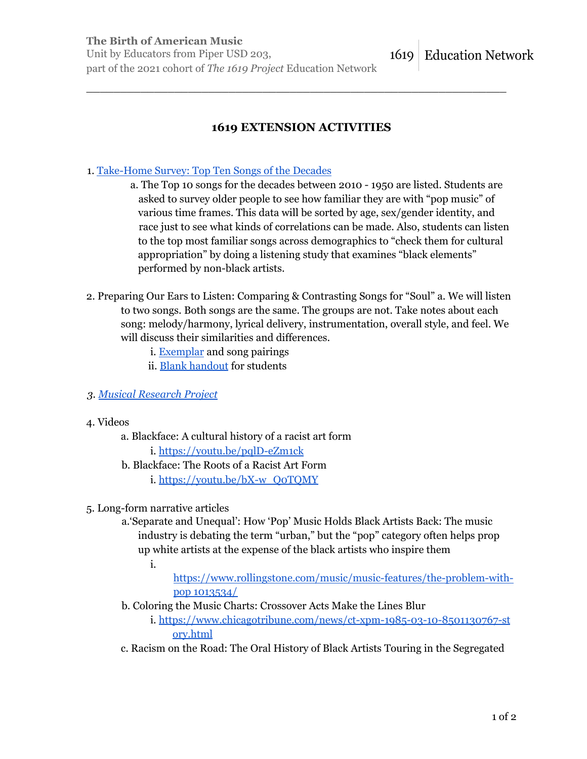**The Birth of American Music** Unit by Educators from Piper USD 203, 1619 part of the 2021 cohort of *The 1619 Project* Education Network

## **1619 EXTENSION ACTIVITIES**

\_\_\_\_\_\_\_\_\_\_\_\_\_\_\_\_\_\_\_\_\_\_\_\_\_\_\_\_\_\_\_\_\_\_\_\_\_\_\_\_\_\_\_\_\_\_\_\_\_\_\_\_\_\_\_\_\_\_\_\_\_\_

## 1. Take-Home Survey: Top Ten Songs of the Decades

- a. The Top 10 songs for the decades between 2010 1950 are listed. Students are asked to survey older people to see how familiar they are with "pop music" of various time frames. This data will be sorted by age, sex/gender identity, and race just to see what kinds of correlations can be made. Also, students can listen to the top most familiar songs across demographics to "check them for cultural appropriation" by doing a listening study that examines "black elements" performed by non-black artists.
- 2. Preparing Our Ears to Listen: Comparing & Contrasting Songs for "Soul" a. We will listen to two songs. Both songs are the same. The groups are not. Take notes about each song: melody/harmony, lyrical delivery, instrumentation, overall style, and feel. We will discuss their similarities and differences.
	- i. Exemplar and song pairings
	- ii. Blank handout for students
- *3. Musical Research Project*
- 4. Videos
	- a. Blackface: A cultural history of a racist art form
		- i. https://youtu.be/pqlD-eZm1ck
	- b. Blackface: The Roots of a Racist Art Form
		- i. https://youtu.be/bX-w\_Q0TQMY
- 5. Long-form narrative articles
	- a.'Separate and Unequal': How 'Pop' Music Holds Black Artists Back: The music industry is debating the term "urban," but the "pop" category often helps prop up white artists at the expense of the black artists who inspire them

i.

- https://www.rollingstone.com/music/music-features/the-problem-withpop 1013534/
- b. Coloring the Music Charts: Crossover Acts Make the Lines Blur
	- i. https://www.chicagotribune.com/news/ct-xpm-1985-03-10-8501130767-st ory.html
- c. Racism on the Road: The Oral History of Black Artists Touring in the Segregated